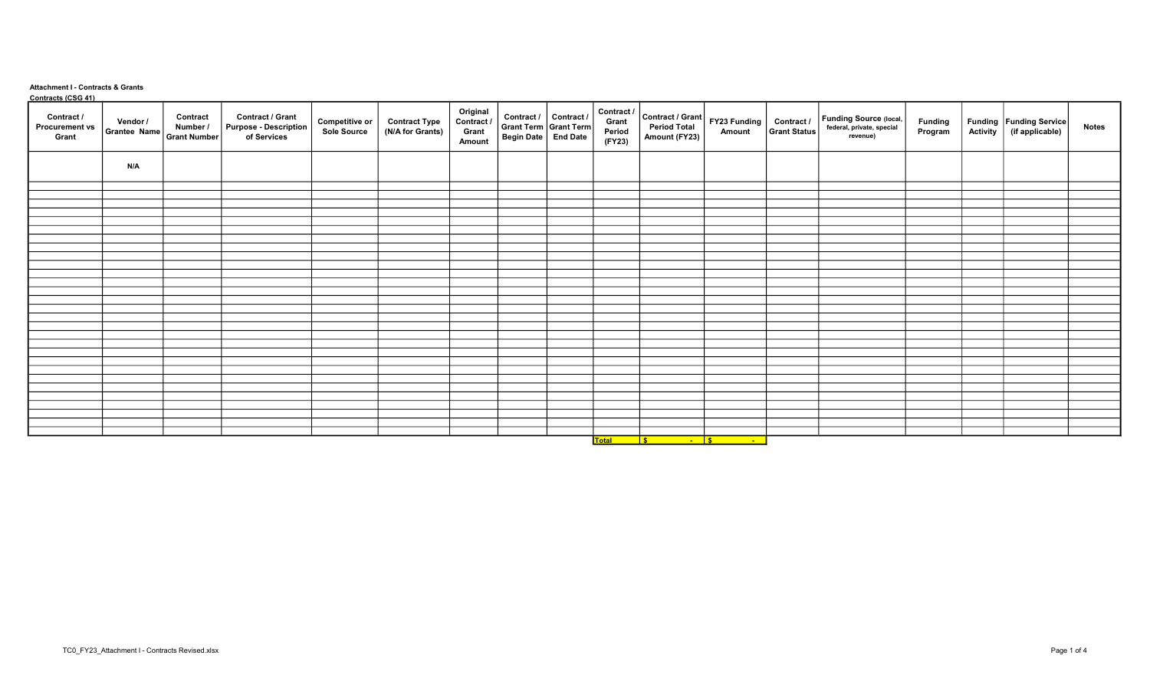## Attachment I - Contracts & Grants Contracts (CSG 41)

| <u>Collucts</u> (C3G + I)<br>Contract /<br><b>Procurement vs</b><br>Grant | Vendor /<br>Grantee Name Grant Number | Contract<br>Number / | Contract / Grant<br>Purpose - Description<br>of Services | <b>Competitive or</b><br>Sole Source | <b>Contract Type</b><br>(N/A for Grants) | Original<br>Contract /<br>Grant<br>Amount | Contract / Contract /<br>  Grant Term   Grant Term  <br>  Begin Date   End Date | (FY23)                                                                                                              | $\begin{array}{c c c c c} \multicolumn{3}{ c }{\textbf{Contract } I} & \multicolumn{2}{ c }{\textbf{Contract } I} & \multicolumn{2}{ c }{\textbf{Grant}} & \multicolumn{2}{ c }{\textbf{Start}} & \multicolumn{2}{ c }{\textbf{Start}} & \multicolumn{2}{ c }{\textbf{Start}} & \multicolumn{2}{ c }{\textbf{Start}} & \multicolumn{2}{ c }{\textbf{Start}} & \multicolumn{2}{ c }{\textbf{Start}} & \multicolumn{2}{ c }{\textbf{Start}} & \multicolumn{2}{ c }{\textbf{Start}} & \multic$<br>Amount (FY23) |                       | Funding Source (local,<br>federal, private, special<br>revenue) | Funding<br>Program | Funding Funding Service | <b>Notes</b> |
|---------------------------------------------------------------------------|---------------------------------------|----------------------|----------------------------------------------------------|--------------------------------------|------------------------------------------|-------------------------------------------|---------------------------------------------------------------------------------|---------------------------------------------------------------------------------------------------------------------|--------------------------------------------------------------------------------------------------------------------------------------------------------------------------------------------------------------------------------------------------------------------------------------------------------------------------------------------------------------------------------------------------------------------------------------------------------------------------------------------------------------|-----------------------|-----------------------------------------------------------------|--------------------|-------------------------|--------------|
|                                                                           | N/A                                   |                      |                                                          |                                      |                                          |                                           |                                                                                 |                                                                                                                     |                                                                                                                                                                                                                                                                                                                                                                                                                                                                                                              |                       |                                                                 |                    |                         |              |
|                                                                           |                                       |                      |                                                          |                                      |                                          |                                           |                                                                                 |                                                                                                                     |                                                                                                                                                                                                                                                                                                                                                                                                                                                                                                              |                       |                                                                 |                    |                         |              |
|                                                                           |                                       |                      |                                                          |                                      |                                          |                                           |                                                                                 |                                                                                                                     |                                                                                                                                                                                                                                                                                                                                                                                                                                                                                                              |                       |                                                                 |                    |                         |              |
|                                                                           |                                       |                      |                                                          |                                      |                                          |                                           |                                                                                 |                                                                                                                     |                                                                                                                                                                                                                                                                                                                                                                                                                                                                                                              |                       |                                                                 |                    |                         |              |
|                                                                           |                                       |                      |                                                          |                                      |                                          |                                           |                                                                                 |                                                                                                                     |                                                                                                                                                                                                                                                                                                                                                                                                                                                                                                              |                       |                                                                 |                    |                         |              |
|                                                                           |                                       |                      |                                                          |                                      |                                          |                                           |                                                                                 |                                                                                                                     |                                                                                                                                                                                                                                                                                                                                                                                                                                                                                                              |                       |                                                                 |                    |                         |              |
|                                                                           |                                       |                      |                                                          |                                      |                                          |                                           |                                                                                 |                                                                                                                     |                                                                                                                                                                                                                                                                                                                                                                                                                                                                                                              |                       |                                                                 |                    |                         |              |
|                                                                           |                                       |                      |                                                          |                                      |                                          |                                           |                                                                                 |                                                                                                                     |                                                                                                                                                                                                                                                                                                                                                                                                                                                                                                              |                       |                                                                 |                    |                         |              |
|                                                                           |                                       |                      |                                                          |                                      |                                          |                                           |                                                                                 |                                                                                                                     |                                                                                                                                                                                                                                                                                                                                                                                                                                                                                                              |                       |                                                                 |                    |                         |              |
|                                                                           |                                       |                      |                                                          |                                      |                                          |                                           |                                                                                 |                                                                                                                     |                                                                                                                                                                                                                                                                                                                                                                                                                                                                                                              |                       |                                                                 |                    |                         |              |
|                                                                           |                                       |                      |                                                          |                                      |                                          |                                           |                                                                                 |                                                                                                                     |                                                                                                                                                                                                                                                                                                                                                                                                                                                                                                              |                       |                                                                 |                    |                         |              |
|                                                                           |                                       |                      |                                                          |                                      |                                          |                                           |                                                                                 |                                                                                                                     |                                                                                                                                                                                                                                                                                                                                                                                                                                                                                                              |                       |                                                                 |                    |                         |              |
|                                                                           |                                       |                      |                                                          |                                      |                                          |                                           |                                                                                 |                                                                                                                     |                                                                                                                                                                                                                                                                                                                                                                                                                                                                                                              |                       |                                                                 |                    |                         |              |
|                                                                           |                                       |                      |                                                          |                                      |                                          |                                           |                                                                                 |                                                                                                                     |                                                                                                                                                                                                                                                                                                                                                                                                                                                                                                              |                       |                                                                 |                    |                         |              |
|                                                                           |                                       |                      |                                                          |                                      |                                          |                                           |                                                                                 |                                                                                                                     |                                                                                                                                                                                                                                                                                                                                                                                                                                                                                                              |                       |                                                                 |                    |                         |              |
|                                                                           |                                       |                      |                                                          |                                      |                                          |                                           |                                                                                 |                                                                                                                     |                                                                                                                                                                                                                                                                                                                                                                                                                                                                                                              |                       |                                                                 |                    |                         |              |
|                                                                           |                                       |                      |                                                          |                                      |                                          |                                           |                                                                                 |                                                                                                                     |                                                                                                                                                                                                                                                                                                                                                                                                                                                                                                              |                       |                                                                 |                    |                         |              |
|                                                                           |                                       |                      |                                                          |                                      |                                          |                                           |                                                                                 |                                                                                                                     |                                                                                                                                                                                                                                                                                                                                                                                                                                                                                                              |                       |                                                                 |                    |                         |              |
|                                                                           |                                       |                      |                                                          |                                      |                                          |                                           |                                                                                 |                                                                                                                     |                                                                                                                                                                                                                                                                                                                                                                                                                                                                                                              |                       |                                                                 |                    |                         |              |
|                                                                           |                                       |                      |                                                          |                                      |                                          |                                           |                                                                                 |                                                                                                                     |                                                                                                                                                                                                                                                                                                                                                                                                                                                                                                              |                       |                                                                 |                    |                         |              |
|                                                                           |                                       |                      |                                                          |                                      |                                          |                                           |                                                                                 |                                                                                                                     |                                                                                                                                                                                                                                                                                                                                                                                                                                                                                                              |                       |                                                                 |                    |                         |              |
|                                                                           |                                       |                      |                                                          |                                      |                                          |                                           |                                                                                 |                                                                                                                     |                                                                                                                                                                                                                                                                                                                                                                                                                                                                                                              |                       |                                                                 |                    |                         |              |
|                                                                           |                                       |                      |                                                          |                                      |                                          |                                           |                                                                                 |                                                                                                                     |                                                                                                                                                                                                                                                                                                                                                                                                                                                                                                              |                       |                                                                 |                    |                         |              |
|                                                                           |                                       |                      |                                                          |                                      |                                          |                                           |                                                                                 |                                                                                                                     |                                                                                                                                                                                                                                                                                                                                                                                                                                                                                                              |                       |                                                                 |                    |                         |              |
|                                                                           |                                       |                      |                                                          |                                      |                                          |                                           |                                                                                 |                                                                                                                     |                                                                                                                                                                                                                                                                                                                                                                                                                                                                                                              |                       |                                                                 |                    |                         |              |
|                                                                           |                                       |                      |                                                          |                                      |                                          |                                           |                                                                                 |                                                                                                                     |                                                                                                                                                                                                                                                                                                                                                                                                                                                                                                              |                       |                                                                 |                    |                         |              |
|                                                                           |                                       |                      |                                                          |                                      |                                          |                                           |                                                                                 |                                                                                                                     |                                                                                                                                                                                                                                                                                                                                                                                                                                                                                                              |                       |                                                                 |                    |                         |              |
|                                                                           |                                       |                      |                                                          |                                      |                                          |                                           |                                                                                 |                                                                                                                     |                                                                                                                                                                                                                                                                                                                                                                                                                                                                                                              |                       |                                                                 |                    |                         |              |
|                                                                           |                                       |                      |                                                          |                                      |                                          |                                           |                                                                                 |                                                                                                                     |                                                                                                                                                                                                                                                                                                                                                                                                                                                                                                              |                       |                                                                 |                    |                         |              |
|                                                                           |                                       |                      |                                                          |                                      |                                          |                                           |                                                                                 | <u>in the second</u> state of the second state of the second state of the second state $\mathbf{s}$<br><b>Total</b> | $\overline{\phantom{a}}$ . $\overline{\phantom{a}}$                                                                                                                                                                                                                                                                                                                                                                                                                                                          | <u> 1999 - Jan Ja</u> |                                                                 |                    |                         |              |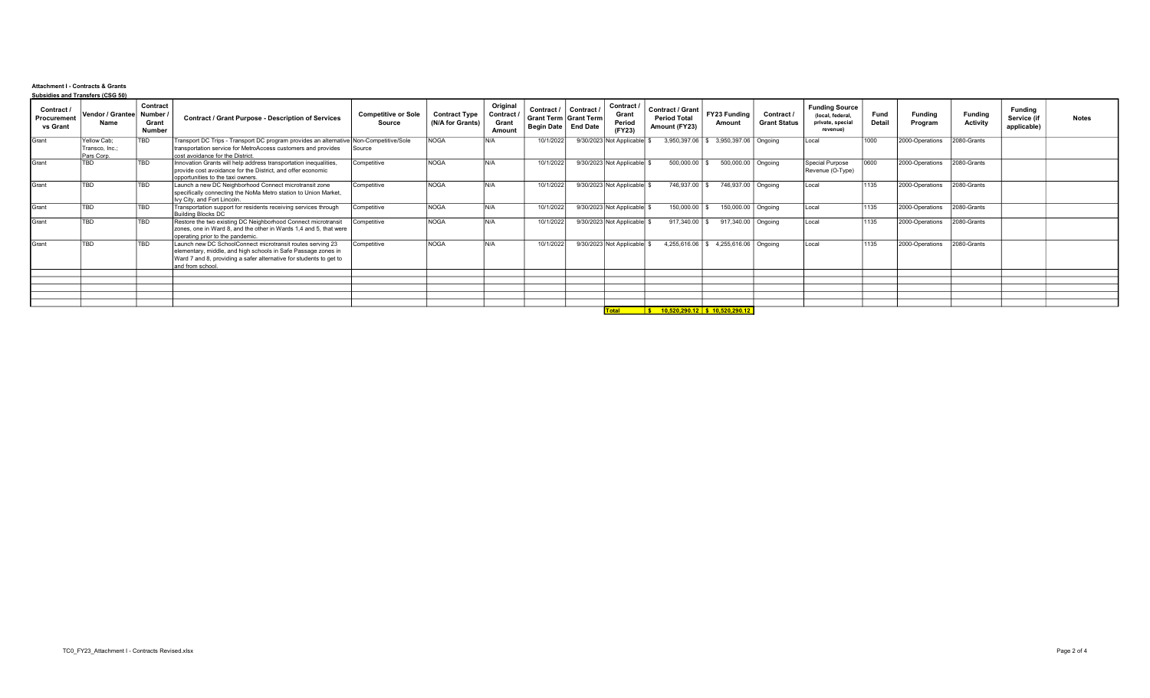## Attachment I - Contracts & Grants Subsidies and Transfers (CSG 50)

| Contract /<br>Procurement<br>vs Grant | Vendor / Grantee Number /<br>Name | Contract<br>Grant<br>Number | <b>Contract / Grant Purpose - Description of Services</b>                                                                                                                                                             | <b>Competitive or Sole</b><br>Source | <b>Contract Type</b><br>(N/A for Grants) | Original<br>Contract /<br>Grant<br>Amount | Contract /<br>Grant Term   Grant Term  <br>Begin Date   End Date | Contract / | Contract /<br>Grant<br>Period<br>(FY23) | Contract / Grant<br><b>Period Total</b><br>Amount (FY23)        | <b>FY23 Funding</b><br>Amount        | Contract /<br><b>Grant Status</b> | <b>Funding Source</b><br>(local, federal,<br>private, special<br>revenue) | Fund<br>Detail | <b>Funding</b><br>Program | Fundina<br>Activity | Fundina<br>Service (if<br>applicable) | <b>Notes</b> |
|---------------------------------------|-----------------------------------|-----------------------------|-----------------------------------------------------------------------------------------------------------------------------------------------------------------------------------------------------------------------|--------------------------------------|------------------------------------------|-------------------------------------------|------------------------------------------------------------------|------------|-----------------------------------------|-----------------------------------------------------------------|--------------------------------------|-----------------------------------|---------------------------------------------------------------------------|----------------|---------------------------|---------------------|---------------------------------------|--------------|
| Grant                                 | Yellow Cab:<br>Transco, Inc.;     | <b>TBD</b>                  | Transport DC Trips - Transport DC program provides an alternative Non-Competitive/Sole<br>transportation service for MetroAccess customers and provides                                                               | Source                               | <b>NOGA</b>                              | N/A                                       | 10/1/2022                                                        |            | 9/30/2023 Not Applicable                |                                                                 | 3,950,397.06 \$ 3,950,397.06 Ongoing |                                   | Local                                                                     | 1000           | 2000-Operations           | 2080-Grants         |                                       |              |
|                                       | Pars Corp.                        |                             | cost avoidance for the District.                                                                                                                                                                                      |                                      |                                          |                                           |                                                                  |            |                                         |                                                                 |                                      |                                   |                                                                           |                |                           |                     |                                       |              |
| lGrant                                | TBD                               | <b>TBD</b>                  | Innovation Grants will help address transportation inequalities,<br>provide cost avoidance for the District, and offer economic<br>opportunities to the taxi owners.                                                  | Competitive                          | <b>NOGA</b>                              | N/A                                       | 10/1/2022                                                        |            | 9/30/2023 Not Applicable                | $500,000.00$ \$                                                 | 500,000.00 Ongoing                   |                                   | Special Purpose<br>Revenue (O-Type)                                       | 0000           | 2000-Operations           | 2080-Grants         |                                       |              |
| Grant                                 | TBD                               | TBD                         | Launch a new DC Neighborhood Connect microtransit zone<br>specifically connecting the NoMa Metro station to Union Market,<br>Ivy City, and Fort Lincoln.                                                              | Competitive                          | <b>NOGA</b>                              | N/A                                       | 10/1/2022                                                        |            | 9/30/2023 Not Applicable                | 746,937.00 \$                                                   | 746,937.00 Ongoing                   |                                   | Local                                                                     | 1135           | 2000-Operations           | 2080-Grants         |                                       |              |
| Grant                                 | TBD                               | <b>TBD</b>                  | Transportation support for residents receiving services through<br><b>Building Blocks DC</b>                                                                                                                          | Competitive                          | <b>NOGA</b>                              | N/A                                       | 10/1/2022                                                        |            | 9/30/2023 Not Applicable                | 150,000.00                                                      | 150,000.00 Ongoing                   |                                   | Local                                                                     | 1135           | 2000-Operations           | 2080-Grants         |                                       |              |
| Grant                                 | TBD                               | <b>TBD</b>                  | Restore the two existing DC Neighborhood Connect microtransit<br>zones, one in Ward 8, and the other in Wards 1,4 and 5, that were<br>operating prior to the pandemic.                                                | Competitive                          | <b>NOGA</b>                              | N/A                                       | 10/1/2022                                                        |            | 9/30/2023 Not Applicable                | 917,340.00 \$                                                   | 917,340.00 Ongoing                   |                                   | Local                                                                     | 1135           | 2000-Operations           | 2080-Grants         |                                       |              |
| Grant                                 | TBD                               | <b>TBD</b>                  | Launch new DC SchoolConnect microtransit routes serving 23<br>elementary, middle, and high schools in Safe Passage zones in<br>Ward 7 and 8, providing a safer alternative for students to get to<br>and from school. | Competitive                          | NOGA                                     | N/A                                       | 10/1/2022                                                        |            | 9/30/2023 Not Applicable                |                                                                 | 4,255,616.06 \$4,255,616.06 Ongoing  |                                   | Local                                                                     | 1135           | 2000-Operations           | 2080-Grants         |                                       |              |
|                                       |                                   |                             |                                                                                                                                                                                                                       |                                      |                                          |                                           |                                                                  |            |                                         |                                                                 |                                      |                                   |                                                                           |                |                           |                     |                                       |              |
|                                       |                                   |                             |                                                                                                                                                                                                                       |                                      |                                          |                                           |                                                                  |            |                                         |                                                                 |                                      |                                   |                                                                           |                |                           |                     |                                       |              |
|                                       |                                   |                             |                                                                                                                                                                                                                       |                                      |                                          |                                           |                                                                  |            |                                         |                                                                 |                                      |                                   |                                                                           |                |                           |                     |                                       |              |
|                                       |                                   |                             |                                                                                                                                                                                                                       |                                      |                                          |                                           |                                                                  |            |                                         |                                                                 |                                      |                                   |                                                                           |                |                           |                     |                                       |              |
|                                       |                                   |                             |                                                                                                                                                                                                                       |                                      |                                          |                                           |                                                                  |            |                                         | $T_{\text{total}}$ $\frac{1}{6}$ 40.520.290.42 \$ 40.520.290.42 |                                      |                                   |                                                                           |                |                           |                     |                                       |              |

Total \$ 10,520,290.12 \$ 10,520,290.12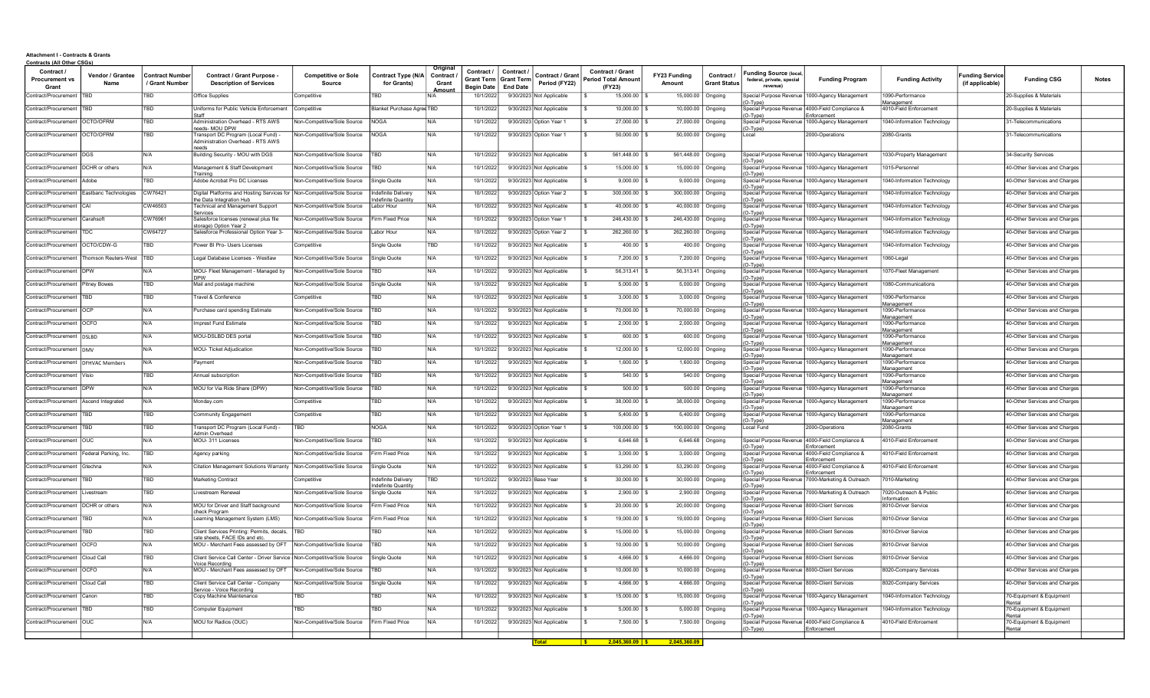## Attachment I - Contracts & Grants Contracts (All Other CSGs)

| Contract<br><b>Procurement vs</b><br>Grant | Vendor / Grantee<br>Name | Contract Numbe<br>/ Grant Number | <b>Contract / Grant Purpose</b><br><b>Description of Services</b>          | <b>Competitive or Sole</b><br><b>Source</b> | Contract Type (N/A  <br>for Grants)      | Original<br>Contract /<br>Grant<br>Amoun | Contract /<br><b>Grant Term</b><br><b>Begin Date</b> | Contract /<br><b>Grant Term</b><br><b>End Date</b> | Contract / Grant<br>Period (FY22) | <b>Contract / Grant</b><br><b>Period Total Amount</b><br>(FY23) | FY23 Funding<br>Amount | Contract /<br><b>Grant Status</b> | Funding Source (local,<br>federal, private, special<br>revenue) | <b>Funding Program</b>                                         | <b>Funding Activity</b>               | unding Service<br>(if applicable) | <b>Funding CSG</b>                 | <b>Notes</b> |
|--------------------------------------------|--------------------------|----------------------------------|----------------------------------------------------------------------------|---------------------------------------------|------------------------------------------|------------------------------------------|------------------------------------------------------|----------------------------------------------------|-----------------------------------|-----------------------------------------------------------------|------------------------|-----------------------------------|-----------------------------------------------------------------|----------------------------------------------------------------|---------------------------------------|-----------------------------------|------------------------------------|--------------|
| Contract/Procurement                       | TBD.                     | TBD                              | Office Supplies                                                            | Competitive                                 | TRN                                      |                                          | 10/1/202                                             | 9/30/2023 Not Applicable                           |                                   | 15,000.00                                                       | 15,000.00              | Ongoing                           | O-Type)                                                         | Special Purpose Revenue 1000-Agency Management                 | 1090-Performance<br><b>Management</b> |                                   | 20-Supplies & Materials            |              |
| Contract/Procurement                       | <b>TRD</b>               | TBD                              | Uniforms for Public Vehicle Enforcement                                    | Competitive                                 | Blanket Purchase Agree TBD               |                                          | 10/1/2022                                            | 9/30/2023 Not Applicable                           |                                   | 10,000.00                                                       | 10,000.00              | Ongoing                           | O-Type)                                                         | Special Purpose Revenue 4000-Field Compliance &<br>Enforcement | 4010-Field Enforcement                |                                   | 20-Supplies & Materials            |              |
| Contract/Procurement                       | OCTO/OFRM                | TBD                              | Administration Overhead - RTS AWS<br>eeds- MOU DPW                         | Non-Competitive/Sole Source                 | <b>NOGA</b>                              | N/A                                      | 10/1/202                                             | 9/30/2023 Option Year 1                            |                                   | 27,000.00                                                       | 27,000.00              | Ongoing                           | $(O-Type)$                                                      | Special Purpose Revenue   1000-Agency Management               | 040-Information Technology            |                                   | 31-Telecommunications              |              |
| Contract/Procurement                       | OCTO/OFRM                | <b>TBD</b>                       | Fransport DC Program (Local Fund) -<br>Administration Overhead - RTS AWS   | Non-Competitive/Sole Source                 | NOGA                                     | N/A                                      | 10/1/2022                                            | 9/30/2023 Option Year 1                            |                                   | 50,000.00 \$                                                    | 50,000.00              | Ongoing                           | Local                                                           | 2000-Operations                                                | 2080-Grants                           |                                   | 31-Telecommunications              |              |
| Contract/Procurement                       | <b>DGS</b>               | N/A                              | Building Security - MOU with DGS                                           | Non-Competitive/Sole Source                 | TBD                                      | N/A                                      | 10/1/202                                             | 9/30/2023 Not Applicable                           |                                   | 561.448.00                                                      | 561,448.00             | Ongoing                           |                                                                 | Special Purpose Revenue 1000-Agency Management                 | 1030-Property Managemen               |                                   | 34-Security Services               |              |
| Contract/Procurement                       | DCHR or others           | N/A                              | Management & Staff Development                                             | Non-Competitive/Sole Source                 | <b>BD</b>                                | N/A                                      | 10/1/2022                                            | 9/30/2023 Not Applicable                           |                                   | 15,000.00 \$                                                    |                        | 15,000.00 Ongoing                 | (O-Type)                                                        | Special Purpose Revenue   1000-Agency Management               | 1015-Personnel                        |                                   | 40-Other Services and Charges      |              |
| Contract/Procurement                       | Adobe                    | TBD                              | Fraining<br>Adobe Acrobat Pro DC Licenses                                  | <b>Non-Competitive/Sole Source</b>          | Single Quote                             | N/A                                      | 10/1/2022                                            | 9/30/2023 Not Applicable                           |                                   | 9,000.00                                                        | 9,000.00               | Ongoing                           | O-Type)                                                         | Special Purpose Revenue 1000-Agency Management                 | 040-Information Technology            |                                   | 40-Other Services and Charges      |              |
| Contract/Procurement                       | Eastbanc Technologies    | CW76421                          | Digital Platforms and Hosting Services for                                 | Non-Competitive/Sole Source                 | ndefinite Deliven                        | N/A                                      | 10/1/202                                             | 9/30/2023 Option Year 2                            |                                   | 300,000.00                                                      | 300,000.00             | Ongoing                           | (O-Type)                                                        | Special Purpose Revenue   1000-Agency Management               | 040-Information Technology            |                                   | 40-Other Services and Charges      |              |
| Contract/Procurement                       | CAI                      | CW46503                          | he Data Integration Hub<br>Fechnical and Management Support<br>Services    | Non-Competitive/Sole Source                 | definite Quantity<br>_abor Hour          | N/A                                      | 10/1/2022                                            | 9/30/2023 Not Applicable                           |                                   | $40.000.00$ \ \$                                                |                        | 40,000.00 Ongoing                 | O-Type)                                                         | Special Purpose Revenue   1000-Agency Management               | 1040-Information Technology           |                                   | 40-Other Services and Charges      |              |
| Contract/Procurement                       | Carahsoft                | CW76961                          | alesforce licenses (renewal plus file                                      | Non-Competitive/Sole Source                 | irm Fixed Price                          | N/A                                      | 10/1/2022                                            | 9/30/2023 Option Year 1                            |                                   | 246,430.00                                                      | 246,430.00             | Ongoing                           | (O-Type)<br>Special Purpose Revenue                             | 1000-Agency Management                                         | 040-Information Technology            |                                   | 40-Other Services and Charges      |              |
| Contract/Procurement                       | ГDС.                     | CW64727                          | storage) Option Year 2<br>alesforce Professional Option Year 3-            | Non-Competitive/Sole Source                 | abor Hour                                | N/A                                      | 10/1/202                                             | 9/30/2023 Option Year 2                            |                                   | 262,260.00                                                      | 262,260.00             | Ongoing                           | (O-Type)<br>(O-Type)                                            | Special Purpose Revenue 1000-Agency Management                 | 1040-Information Technology           |                                   | 40-Other Services and Charges      |              |
| Contract/Procurement                       | OCTO/CDW-G               | TBD                              | Power BI Pro- Users Licenses                                               | Competitive                                 | Single Quote                             | TBD                                      | 10/1/2022                                            | 9/30/2023 Not Applicable                           |                                   | $400.00$ \ \$                                                   |                        | 400.00 Ongoing                    | O-Type)                                                         | Special Purpose Revenue   1000-Agency Management               | 1040-Information Technology           |                                   | 40-Other Services and Charges      |              |
| Contract/Procurement                       | Thomson Reuters-West     | TBD                              | egal Database Licenses - Westlaw                                           | Non-Competitive/Sole Source                 | Single Quote                             | N/A                                      | 10/1/202                                             | 9/30/2023 Not Applicable                           |                                   | 7,200.00                                                        | 7,200.00               | Ongoing                           | O-Type)                                                         | Special Purpose Revenue I 1000-Agency Management               | 1060-Legal                            |                                   | 40-Other Services and Charges      |              |
| Contract/Procurement                       | <b>DPW</b>               | N/A                              | MOU- Fleet Management - Managed by<br><b>DPW</b>                           | <b>Von-Competitive/Sole Source</b>          | <b>BD</b>                                | N/A                                      | 10/1/202                                             | 9/30/2023 Not Applicable                           |                                   | 56,313.41                                                       | 56,313.41              | Ongoing                           | (O-Type)                                                        | Special Purpose Revenue 1000-Agency Management                 | 1070-Fleet Management                 |                                   | 40-Other Services and Charges      |              |
| Contract/Procurement                       | Pitney Bowes             | TBD                              | Mail and postage machine                                                   | Non-Competitive/Sole Source                 | Single Quote                             | N/A                                      | 10/1/2022                                            | 9/30/2023 Not Applicable                           |                                   | 5,000.00                                                        | 5,000.00               | Ongoing                           | (O-Type)                                                        | Special Purpose Revenue 1000-Agency Management                 | 1080-Communications                   |                                   | 40-Other Services and Charges      |              |
| Contract/Procurement                       | ΈRΠ.                     | TBD                              | Travel & Conference                                                        | Competitive                                 | <b>BD</b>                                | N/A                                      | 10/1/2023                                            | 9/30/2023 Not Applicable                           |                                   | 3.000.00                                                        | 3,000.00               | Ongoing                           | O-Type)                                                         | Special Purpose Revenue   1000-Agency Management               | 1090-Performance<br>anagement         |                                   | 40-Other Services and Charges      |              |
| Contract/Procurement                       | OCP                      | N/A                              | Purchase card spending Estimate                                            | Non-Competitive/Sole Source                 | <b>BD</b>                                | IN/A                                     | 10/1/2022                                            | 9/30/2023 Not Applicable                           |                                   | 70,000.00 S                                                     | 70,000.00              | Ongoing                           | O-Type)                                                         | Special Purpose Revenue 1000-Agency Management                 | 090-Performance<br>lanagement         |                                   | 40-Other Services and Charges      |              |
| Contract/Procurement                       | <b>OCFO</b>              | N/A                              | mprest Fund Estimate                                                       | Non-Competitive/Sole Source                 | TBD                                      | N/A                                      | 10/1/202                                             | 9/30/2023 Not Applicable                           |                                   | 2,000.00                                                        | 2,000.00               | Ongoing                           | (O-Type)                                                        | Special Purpose Revenue 1000-Agency Management                 | 1090-Performanc<br>lanagement         |                                   | 40-Other Services and Charges      |              |
| Contract/Procurement   DSLBD               |                          | IN/A                             | MOU-DSLBD DES portal                                                       | Non-Competitive/Sole Source                 | <b>BD</b>                                | N/A                                      | 10/1/2022                                            | 9/30/2023 Not Applicable                           |                                   | 600.00 S                                                        | 600.00                 | Ongoing                           | (O-Type)                                                        | Special Purpose Revenue   1000-Agency Management               | 1090-Performance<br>anagement         |                                   | 40-Other Services and Charges      |              |
| Contract/Procurement   DMV                 |                          | IN/A                             | MOU- Ticket Adjudication                                                   | Non-Competitive/Sole Source                 | TBD                                      | N/A                                      | 10/1/2022                                            | 9/30/2023 Not Applicable                           |                                   | $12,000.00$ s                                                   | 12,000.00              | Ongoing                           | (O-Type)                                                        | Special Purpose Revenue   1000-Agency Management               | 1090-Performance<br>Management        |                                   | 40-Other Services and Charges      |              |
| Contract/Procurement   DFHVAC Members      |                          | N/A                              | Payment                                                                    | Non-Competitive/Sole Source                 | <b>BD</b>                                | N/A                                      | 10/1/202                                             | 9/30/2023 Not Applicable                           |                                   | 1,600.00                                                        | 1,600.00               | Ongoing                           | (O-Type)                                                        | Special Purpose Revenue   1000-Agency Management               | 1090-Performance<br>Management        |                                   | 40-Other Services and Charges      |              |
| Contract/Procurement                       | Visio                    | TBD                              | Annual subscription                                                        | Non-Competitive/Sole Source                 | TBD                                      | IN/A                                     | 10/1/202                                             | 9/30/2023 Not Applicable                           |                                   | $540.00$ \ \$                                                   | 540.00                 | Ongoing                           | O-Type)                                                         | Special Purpose Revenue   1000-Agency Management               | 1090-Performance<br>lanagement        |                                   | 40-Other Services and Charges      |              |
| Contract/Procurement IDPW                  |                          | IN/A                             | MOU for Via Ride Share (DPW)                                               | Non-Competitive/Sole Source                 | <b>BD</b>                                | N/A                                      | 10/1/202                                             | 9/30/2023 Not Applicable                           |                                   | $500.00$ \$                                                     | 500.00                 | Ongoing                           | O-Type)                                                         | Special Purpose Revenue   1000-Agency Management               | 1090-Performance<br>Management        |                                   | 40-Other Services and Charges      |              |
| Contract/Procurement                       | Ascend Integrated        | N/A                              | fonday.com                                                                 | Competitive                                 | <b>BD</b>                                | N/A                                      | 10/1/2022                                            | 9/30/2023 Not Applicable                           |                                   | 38,000.00                                                       | 38,000.00              | Ongoing                           | Special Purpose Revenue<br>(O-Tyne)                             | 1000-Agency Management                                         | 090-Performance<br><b>Management</b>  |                                   | 40-Other Services and Charges      |              |
| Contract/Procurement                       | TBD                      | TBD                              | Community Engagement                                                       | Competitive                                 | TBD                                      | N/A                                      | 10/1/202                                             | 9/30/2023 Not Applicable                           |                                   | 5,400.00                                                        | 5,400.00               | Ongoing                           | (O-Type)                                                        | Special Purpose Revenue 1000-Agency Management                 | 1090-Performance<br>Management        |                                   | 40-Other Services and Charges      |              |
| Contract/Procurement                       | <b>TRD</b>               | TBD                              | Fransport DC Program (Local Fund)<br>Admin Overhead                        | TRD                                         | <b>NOGA</b>                              | IN/A                                     | 10/1/202                                             | 9/30/2023 Option Year 1                            |                                   | 100.000.00   \$                                                 | 100,000.00             | Ongoing                           | Local Fund                                                      | 2000-Operations                                                | 2080-Grants                           |                                   | 40-Other Services and Charges      |              |
| Contract/Procurement   OUC                 |                          | N/A                              | MOU-311 Licenses                                                           | Non-Competitive/Sole Source                 | <b>BD</b>                                | N/A                                      | 10/1/2023                                            | 9/30/2023 Not Applicable                           |                                   | 6.646.68                                                        | 6.646.68               | Ongoing                           | Special Purpose Revenue 4000-Field Compliance &<br>O-Type)      | Enforcement                                                    | 4010-Field Enforcement                |                                   | 40-Other Services and Charges      |              |
| Contract/Procurement Federal Parking, Inc. |                          | TBD                              | Agency parking                                                             | Non-Competitive/Sole Source                 | Firm Fixed Price                         | IN/A                                     | 10/1/2022                                            | 9/30/2023 Not Applicable                           |                                   | $3,000.00$ \$                                                   | 3,000.00               | Ongoing                           | (O-Type)                                                        | Special Purpose Revenue 4000-Field Compliance &<br>Enforcement | 4010-Field Enforcement                |                                   | 40-Other Services and Charges      |              |
| Contract/Procurement Gtechna               |                          | <b>N/A</b>                       | Citation Management Solutions Warranty   Non-Competitive/Sole Source       |                                             | Single Quote                             | N/A                                      | 10/1/202                                             | 9/30/2023 Not Applicable                           |                                   | 53,290.00                                                       | 53,290.00              | Ongoing                           | Special Purpose Revenue 4000-Field Compliance &<br>$(O-Type)$   | Enforcement                                                    | 4010-Field Enforcement                |                                   | 40-Other Services and Charges      |              |
| Contract/Procurement                       | <b>TRD</b>               | TBD                              | Marketing Contract                                                         | Competitive                                 | ndefinite Deliverv<br>ndefinite Quantity | TBD                                      | 10/1/202                                             | 9/30/2023 Base Year                                |                                   | 30,000.00                                                       | 30.000.00              | Ongoing                           | (O-Type)                                                        | Special Purpose Revenue 17000-Marketing & Outreach             | 7010-Marketing                        |                                   | 40-Other Services and Charge       |              |
| Contract/Procurement Livestream            |                          | TBD                              | Livestream Renewal                                                         | Non-Competitive/Sole Source                 | Single Quote                             | N/A                                      | 10/1/2022                                            | 9/30/2023 Not Applicable                           |                                   | $2,900.00$ \$                                                   | 2,900.00               | Ongoing                           | (O-Type)                                                        | Special Purpose Revenue 7000-Marketing & Outreach              | 7020-Outreach & Public<br>nformation  |                                   | 40-Other Services and Charges      |              |
| Contract/Procurement                       | DCHR or others           | N/A                              | MOU for Driver and Staff background<br>check Program                       | Non-Competitive/Sole Source                 | irm Fixed Price                          | N/A                                      | 10/1/202                                             | 9/30/2023 Not Applicable                           |                                   | 20,000.00                                                       | 20,000.00              | Ongoing                           | Special Purpose Revenue 8000-Client Services<br>(O-Type)        |                                                                | 8010-Driver Service                   |                                   | 40-Other Services and Charges      |              |
| Contract/Procurement                       | TBD                      | N/A                              | earning Management System (LMS)                                            | Non-Competitive/Sole Source                 | irm Fixed Price                          | N/A                                      | 10/1/202                                             | 9/30/2023 Not Applicable                           |                                   | 19,000.00                                                       | 19,000.00              | Ongoing                           | Special Purpose Revenue 8000-Client Services<br>(O-Type)        |                                                                | 8010-Driver Service                   |                                   | 40-Other Services and Charges      |              |
| Contract/Procurement                       | <b>TBD</b>               | TBD                              | Client Services Printing: Permits, decals,<br>ate sheets. FACE IDs and etc | <b>TRD</b>                                  | <b>BD</b>                                | N/A                                      | 10/1/2022                                            | 9/30/2023 Not Applicable                           |                                   | 15,000.00                                                       | 15,000.00              | Ongoing                           | Special Purpose Revenue 8000-Client Services<br>(O-Type)        |                                                                | 8010-Driver Service                   |                                   | 40-Other Services and Charges      |              |
| Contract/Procurement                       | OCFO                     | N/A                              | IOU - Merchant Fees assessed by OFT                                        | Non-Competitive/Sole Source                 | <b>BD</b>                                | N/A                                      | 10/1/2022                                            | 9/30/2023 Not Applicable                           |                                   | 10,000.00                                                       | 10,000.00              | Ongoing                           | Special Purpose Revenue 8000-Client Services<br>(O-Type)        |                                                                | 8010-Driver Service                   |                                   | 40-Other Services and Charges      |              |
| Contract/Procurement                       | Cloud Call               | TBD                              | Client Service Call Center - Driver Service<br>oice Recording              | Non-Competitive/Sole Source                 | Single Quote                             | N/A                                      | 10/1/202                                             | 9/30/2023 Not Applicable                           |                                   | 4.666.00                                                        | 4,666.00               | Ongoing                           | Special Purpose Revenue 18000-Client Services<br>O-Type)        |                                                                | 8010-Driver Service                   |                                   | 40-Other Services and Charges      |              |
| Contract/Procurement   OCFO                |                          | IN/A                             | MOU - Merchant Fees assessed by OFT                                        | Non-Competitive/Sole Source                 | TBD                                      | IN/A                                     | 10/1/2022                                            | 9/30/2023 Not Applicable                           |                                   | 10,000.00 \$                                                    |                        | 10,000.00   Ongoing               | Special Purpose Revenue 8000-Client Services<br>(O-Type)        |                                                                | 8020-Company Services                 |                                   | 40-Other Services and Charges      |              |
| Contract/Procurement                       | Cloud Call               | TBD                              | Client Service Call Center - Company<br>Service - Voice Recording          | Non-Competitive/Sole Source                 | Single Quote                             | N/A                                      | 10/1/2022                                            | 9/30/2023 Not Applicable                           |                                   | 4,666.00                                                        | 4,666.00               | Ongoing                           | Special Purpose Revenue 8000-Client Services<br>(O-Type)        |                                                                | 8020-Company Services                 |                                   | 40-Other Services and Charges      |              |
| Contract/Procurement                       | Canor                    | TBD                              | Copy Machine Maintenance                                                   | <b>BD</b>                                   | BD                                       | N/A                                      | 10/1/202                                             | 9/30/2023 Not Applicable                           |                                   | 15,000.00                                                       | 15,000.00              | Ongoing                           | $O-Type)$                                                       | Special Purpose Revenue 1000-Agency Management                 | 1040-Information Technology           |                                   | 70-Equipment & Equipment<br>Rental |              |
| Contract/Procurement   TBD                 |                          | TBD                              | Computer Equipment                                                         | TBD                                         | <b>BD</b>                                | IN/A                                     | 10/1/2022                                            | 9/30/2023 Not Applicable                           |                                   | $5,000.00$ \$                                                   | 5,000.00               | Ongoing                           | (O-Type)                                                        | Special Purpose Revenue 1000-Agency Management                 | 1040-Information Technology           |                                   | 70-Equipment & Equipment           |              |
| Contract/Procurement                       | louc                     | N/A                              | MOU for Radios (OUC)                                                       | Non-Competitive/Sole Source                 | Firm Fixed Price                         | N/A                                      | 10/1/2022                                            | 9/30/2023 Not Applicable                           |                                   | 7,500.00                                                        | 7,500.00               | Ongoing                           | $(O-Type)$                                                      | Special Purpose Revenue 4000-Field Compliance &<br>-nforcement | 4010-Field Enforcement                |                                   | 70-Equipment & Equipment<br>Rental |              |
|                                            |                          |                                  |                                                                            |                                             |                                          |                                          |                                                      |                                                    | <b>Total</b>                      | $2.045.360.09$ S<br><u>is </u>                                  | 2.045.360.09           |                                   |                                                                 |                                                                |                                       |                                   |                                    |              |